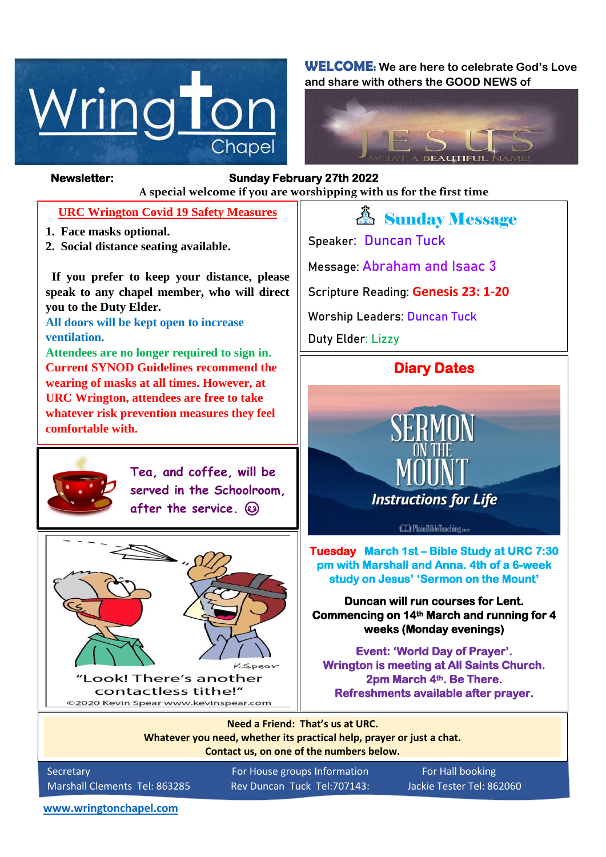

**WELCOME: We are here to celebrate God's Love and share with others the GOOD NEWS of**



### *Figure 1ready steady* **A special welcome if you are worshipping with us for the first time Newsletter: Sunday February 27th 2022**

#### **URC Wrington Covid 19 Safety Measures**

- **1. Face masks optional.**
- **2. Social distance seating available.**

 **If you prefer to keep your distance, please speak to any chapel member, who will direct you to the Duty Elder.**

**All doors will be kept open to increase ventilation.**

**Attendees are no longer required to sign in. Current SYNOD Guidelines recommend the wearing of masks at all times. However, at URC Wrington, attendees are free to take whatever risk prevention measures they feel comfortable with.**



**Tea, and coffee, will be served in the Schoolroom, after the service.** 



*A* Sunday Message **Speaker: Duncan Tuck Message: Abraham and Isaac 3**

**Scripture Reading: Genesis 23: 1-20**

**Worship Leaders: Duncan Tuck**

**Duty Elder: Lizzy**

### **Diary Dates**



**Tuesday March 1st – Bible Study at URC 7:30 pm with Marshall and Anna. 4th of a 6-week study on Jesus' 'Sermon on the Mount'**

**Duncan will run courses for Lent. Commencing on 14th March and running for 4 weeks (Monday evenings)** 

**Event: 'World Day of Prayer'. Wrington is meeting at All Saints Church. 2pm March 4th. Be There. Refreshments available after prayer.** 

**Need a Friend: That's us at URC. Whatever you need, whether its practical help, prayer or just a chat. Contact us, on one of the numbers below.**

Secretary **For House groups Information** For Hall booking Marshall Clements Tel: 863285 Rev Duncan Tuck Tel:707143: Jackie Tester Tel: 862060

**[www.wringtonchapel.com](http://www.wringtonchapel.com/)**